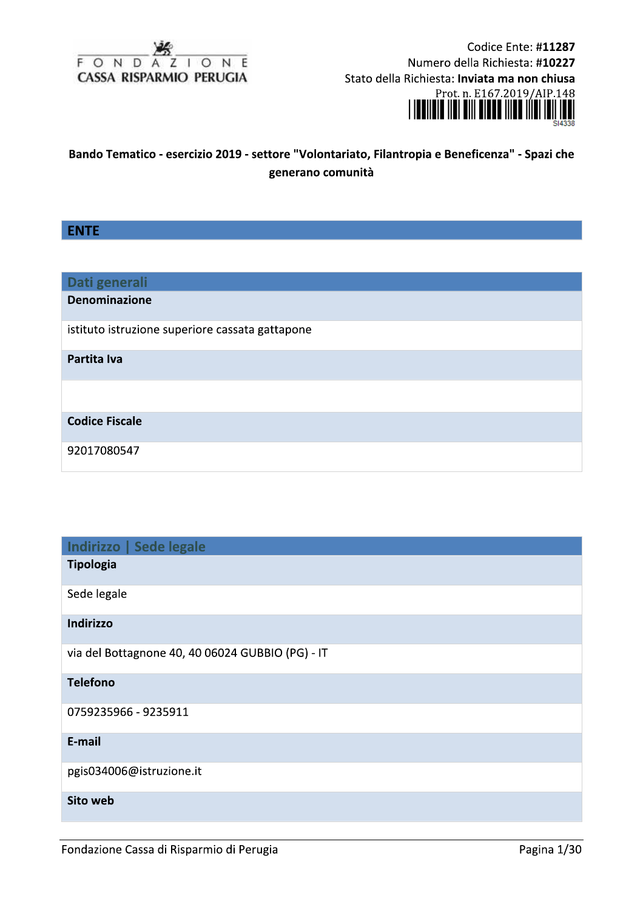

Codice Ente: #11287 Numero della Richiesta: #10227 Stato della Richiesta: Inviata ma non chiusa Prot. n. E167.2019/AIP.148



# Bando Tematico - esercizio 2019 - settore "Volontariato, Filantropia e Beneficenza" - Spazi che generano comunità

# **ENTE**

| Dati generali                                   |
|-------------------------------------------------|
| <b>Denominazione</b>                            |
| istituto istruzione superiore cassata gattapone |
| Partita Iva                                     |
|                                                 |
| <b>Codice Fiscale</b>                           |
| 92017080547                                     |

| Indirizzo   Sede legale                          |
|--------------------------------------------------|
| <b>Tipologia</b>                                 |
| Sede legale                                      |
| Indirizzo                                        |
| via del Bottagnone 40, 40 06024 GUBBIO (PG) - IT |
| <b>Telefono</b>                                  |
| 0759235966 - 9235911                             |
| E-mail                                           |
| pgis034006@istruzione.it                         |
| Sito web                                         |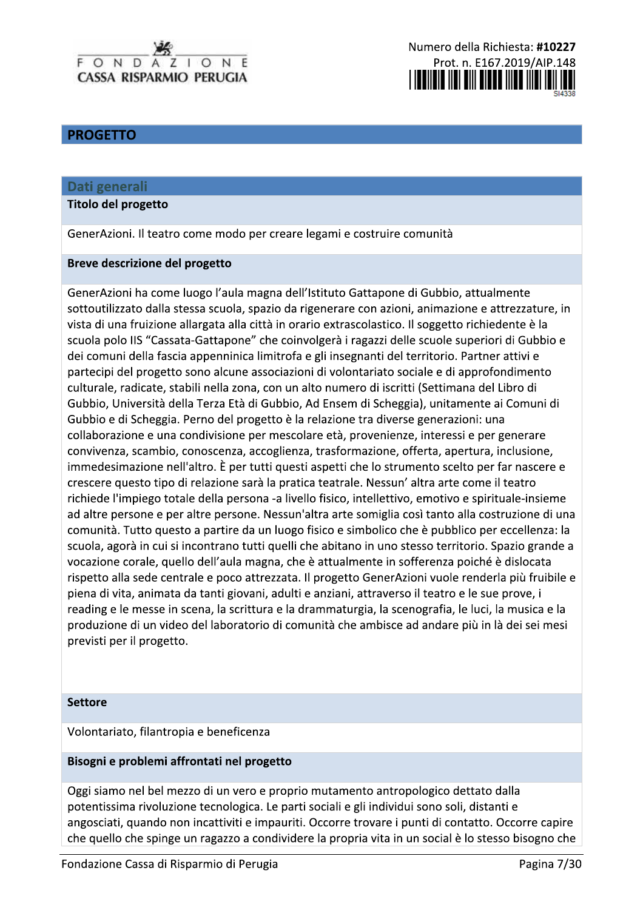# **PROGETTO**

### Dati generali

#### **Titolo del progetto**

GenerAzioni. Il teatro come modo per creare legami e costruire comunità

#### Breve descrizione del progetto

GenerAzioni ha come luogo l'aula magna dell'Istituto Gattapone di Gubbio, attualmente sottoutilizzato dalla stessa scuola, spazio da rigenerare con azioni, animazione e attrezzature, in vista di una fruizione allargata alla città in orario extrascolastico. Il soggetto richiedente è la scuola polo IIS "Cassata-Gattapone" che coinvolgerà i ragazzi delle scuole superiori di Gubbio e dei comuni della fascia appenninica limitrofa e gli insegnanti del territorio. Partner attivi e partecipi del progetto sono alcune associazioni di volontariato sociale e di approfondimento culturale, radicate, stabili nella zona, con un alto numero di iscritti (Settimana del Libro di Gubbio, Università della Terza Età di Gubbio, Ad Ensem di Scheggia), unitamente ai Comuni di Gubbio e di Scheggia. Perno del progetto è la relazione tra diverse generazioni: una collaborazione e una condivisione per mescolare età, provenienze, interessi e per generare convivenza, scambio, conoscenza, accoglienza, trasformazione, offerta, apertura, inclusione, immedesimazione nell'altro. È per tutti questi aspetti che lo strumento scelto per far nascere e crescere questo tipo di relazione sarà la pratica teatrale. Nessun' altra arte come il teatro richiede l'impiego totale della persona -a livello fisico, intellettivo, emotivo e spirituale-insieme ad altre persone e per altre persone. Nessun'altra arte somiglia così tanto alla costruzione di una comunità. Tutto questo a partire da un luogo fisico e simbolico che è pubblico per eccellenza: la scuola, agorà in cui si incontrano tutti quelli che abitano in uno stesso territorio. Spazio grande a vocazione corale, quello dell'aula magna, che è attualmente in sofferenza poiché è dislocata rispetto alla sede centrale e poco attrezzata. Il progetto GenerAzioni vuole renderla più fruibile e piena di vita, animata da tanti giovani, adulti e anziani, attraverso il teatro e le sue prove, i reading e le messe in scena, la scrittura e la drammaturgia, la scenografia, le luci, la musica e la produzione di un video del laboratorio di comunità che ambisce ad andare più in là dei sei mesi previsti per il progetto.

#### **Settore**

#### Volontariato, filantropia e beneficenza

#### Bisogni e problemi affrontati nel progetto

Oggi siamo nel bel mezzo di un vero e proprio mutamento antropologico dettato dalla potentissima rivoluzione tecnologica. Le parti sociali e gli individui sono soli, distanti e angosciati, quando non incattiviti e impauriti. Occorre trovare i punti di contatto. Occorre capire che quello che spinge un ragazzo a condividere la propria vita in un social è lo stesso bisogno che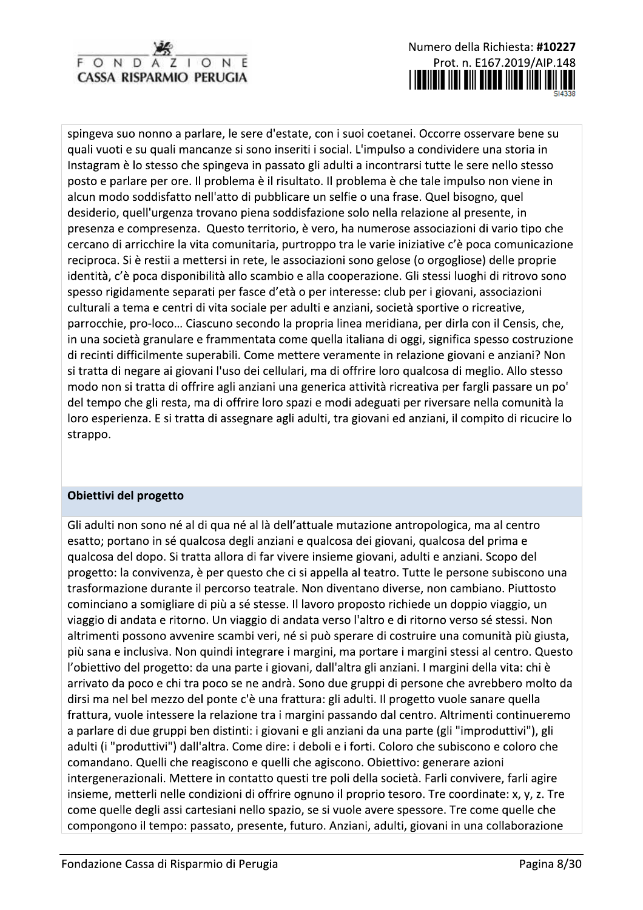

spingeva suo nonno a parlare, le sere d'estate, con i suoi coetanei. Occorre osservare bene su quali vuoti e su quali mancanze si sono inseriti i social. L'impulso a condividere una storia in Instagram è lo stesso che spingeva in passato gli adulti a incontrarsi tutte le sere nello stesso posto e parlare per ore. Il problema è il risultato. Il problema è che tale impulso non viene in alcun modo soddisfatto nell'atto di pubblicare un selfie o una frase. Quel bisogno, quel desiderio, quell'urgenza trovano piena soddisfazione solo nella relazione al presente, in presenza e compresenza. Questo territorio, è vero, ha numerose associazioni di vario tipo che cercano di arricchire la vita comunitaria, purtroppo tra le varie iniziative c'è poca comunicazione reciproca. Si è restii a mettersi in rete, le associazioni sono gelose (o orgogliose) delle proprie identità, c'è poca disponibilità allo scambio e alla cooperazione. Gli stessi luoghi di ritrovo sono spesso rigidamente separati per fasce d'età o per interesse: club per i giovani, associazioni culturali a tema e centri di vita sociale per adulti e anziani, società sportive o ricreative, parrocchie, pro-loco... Ciascuno secondo la propria linea meridiana, per dirla con il Censis, che, in una società granulare e frammentata come quella italiana di oggi, significa spesso costruzione di recinti difficilmente superabili. Come mettere veramente in relazione giovani e anziani? Non si tratta di negare ai giovani l'uso dei cellulari, ma di offrire loro qualcosa di meglio. Allo stesso modo non si tratta di offrire agli anziani una generica attività ricreativa per fargli passare un po' del tempo che gli resta, ma di offrire loro spazi e modi adeguati per riversare nella comunità la loro esperienza. E si tratta di assegnare agli adulti, tra giovani ed anziani, il compito di ricucire lo strappo.

# Obiettivi del progetto

Gli adulti non sono né al di qua né al là dell'attuale mutazione antropologica, ma al centro esatto; portano in sé qualcosa degli anziani e qualcosa dei giovani, qualcosa del prima e qualcosa del dopo. Si tratta allora di far vivere insieme giovani, adulti e anziani. Scopo del progetto: la convivenza, è per questo che ci si appella al teatro. Tutte le persone subiscono una trasformazione durante il percorso teatrale. Non diventano diverse, non cambiano. Piuttosto cominciano a somigliare di più a sé stesse. Il lavoro proposto richiede un doppio viaggio, un viaggio di andata e ritorno. Un viaggio di andata verso l'altro e di ritorno verso sé stessi. Non altrimenti possono avvenire scambi veri, né si può sperare di costruire una comunità più giusta, più sana e inclusiva. Non quindi integrare i margini, ma portare i margini stessi al centro. Questo l'obiettivo del progetto: da una parte i giovani, dall'altra gli anziani. I margini della vita: chi è arrivato da poco e chi tra poco se ne andrà. Sono due gruppi di persone che avrebbero molto da dirsi ma nel bel mezzo del ponte c'è una frattura: gli adulti. Il progetto vuole sanare quella frattura, vuole intessere la relazione tra i margini passando dal centro. Altrimenti continueremo a parlare di due gruppi ben distinti: i giovani e gli anziani da una parte (gli "improduttivi"), gli adulti (i "produttivi") dall'altra. Come dire: i deboli e i forti. Coloro che subiscono e coloro che comandano. Quelli che reagiscono e quelli che agiscono. Obiettivo: generare azioni intergenerazionali. Mettere in contatto questi tre poli della società. Farli convivere, farli agire insieme, metterli nelle condizioni di offrire ognuno il proprio tesoro. Tre coordinate: x, y, z. Tre come quelle degli assi cartesiani nello spazio, se si vuole avere spessore. Tre come quelle che compongono il tempo: passato, presente, futuro. Anziani, adulti, giovani in una collaborazione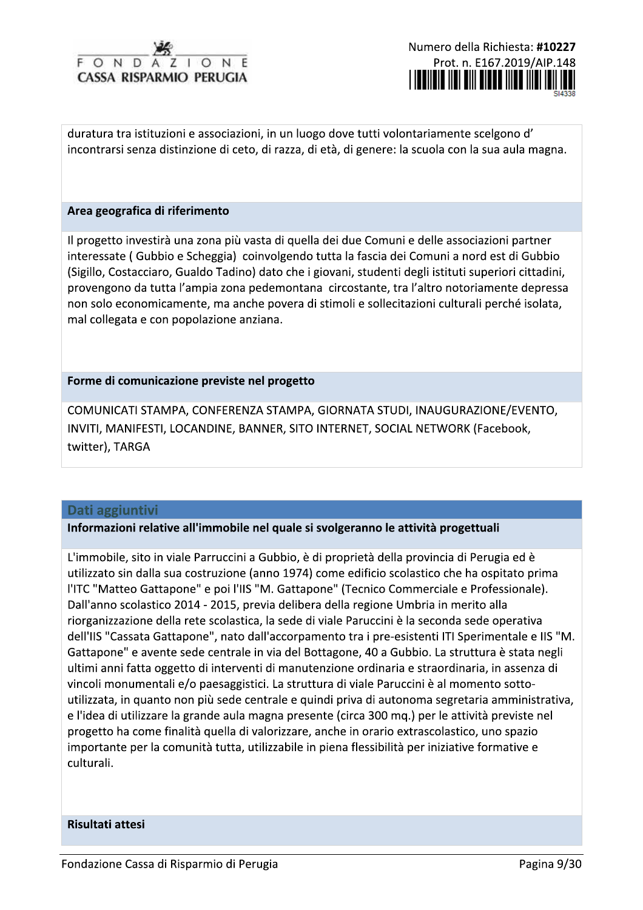duratura tra istituzioni e associazioni, in un luogo dove tutti volontariamente scelgono d' incontrarsi senza distinzione di ceto, di razza, di età, di genere: la scuola con la sua aula magna.

duratura tra istituzioni e associazioni, in un luogo dove tutti volontariamente scel<br>incontrarsi senza distinzione di ceto, di razza, di età, di genere: la scuola con la su<br>**Area geografica di riferimento**<br>Il progetto inve duratura tra istituzioni e associazioni, in un luogo dove tutti volontariamente scelgono d'<br>incontrarsi senza distinzione di ceto, di razza, di età, di genere: la scuola con la sua aula magna<br> **Area geografica di riferimen** incontrarsi senza distinzione di ceto, di razza, di età, di genere: la scuola con la sua aula magna.<br> **Area geografica di riferimento**<br>
Il progetto investirà una zona più vasta di quella dei due Comuni e delle associazioni provengono da tutta l'ampia zona pedemontana circostante, tra l'altro notoriamente depressa non solo economicamente, ma anche povera di stimoli e sollecitazioni culturali perché isolata. mal collegata e con popolazione anziana.

provengono da tutta l'ampia zona pedemontana<br>non solo economicamente, ma anche povera di :<br>mal collegata e con popolazione anziana.<br>**Forme di comunicazione previste nel progetto**<br>COMUNICATI STAMPA, CONFERENZA STAMPA, (<br>INV ENZA STAMPA, GIORNATA STUDI, INAUGURA mon solo economicamente, ma anche povera di sumoni e soliecitazioni culturali perche isolata,<br>
mal collegata e con popolazione anziana.<br>
Forme di comunicazione previste nel progetto<br>
COMUNICATI STAMPA, CONFERENZA STAMPA, G . SITO INTERNET. SOCIAL NETWORK (Facebook. e povera di stimoli e soliecitazioni culturali perche<br>ana.<br>I progetto<br>N STAMPA, GIORNATA STUDI, INAUGURAZIONE/E<br>INER, SITO INTERNET, SOCIAL NETWORK (Faceboc<br>el quale si svolgeranno le attività progettuali<br>Gubbio, è di prop twitter). TARGA

### Dati aggiuntivi

### Informazioni relative all'immobile nel quale si svolgeranno le attività progettuali

importante per la comunità tutta, u ${\sf culturali}.$ <br>Risultati attesi ${\sf Fondazione}$  Cassa di Risparmio di Per L'immobile, sito in viale Parruccini a Gubbio, è di proprietà della provincia di Perugia ed è utilizzato sin dalla sua costruzione (anno 1974) come edificio scolastico che ha ospitato prima **Dati aggiuntivi**<br> **Informazioni relative all'immobile nel quale si svolgeranno le attività progettuali**<br>
L'immobile, sito in viale Parruccini a Gubbio, è di proprietà della provincia di Perugia ed è<br>
utilizzato sin dalla merciale e Professionale). Dall'anno scolastico 2014 - 2015, previa delibera della regione Umbria in merito alla **Informazioni relative all'immobile nel quale si svolgeranno le attività progettuali<br>
L'immobile, sito in viale Parruccini a Gubbio, è di proprietà della provincia di Perugia ed è<br>
utilizzato sin dalla sua costruzione (ann** ento tra i pre-esistenti ITI Sperimentale e IIS "M.  $\parallel$ Gattapone" e avente sede centrale in via del Bottagone, 40 a Gubbio. La struttura è stata negli ultimi anni fatta oggetto di interventi di manutenzione ordinaria e straordinaria, in assenza di vincoli monumentali e/o paesaggistici. La struttura di viale Paruccini è al momento sottoutilizzata, in quanto non più sede centrale e quindi priva di autonoma segretaria amministrativa.  $\|$ e l'idea di utilizzare la grande aula magna presente (circa 300 mg.) per le attività previste nel progetto ha come finalità quella di valorizzare, anche in orario extrascolastico, uno spazio importante per la comunità tutta, utilizzabile in piena flessibilità per iniziative formative e culturali.

Risultati attesi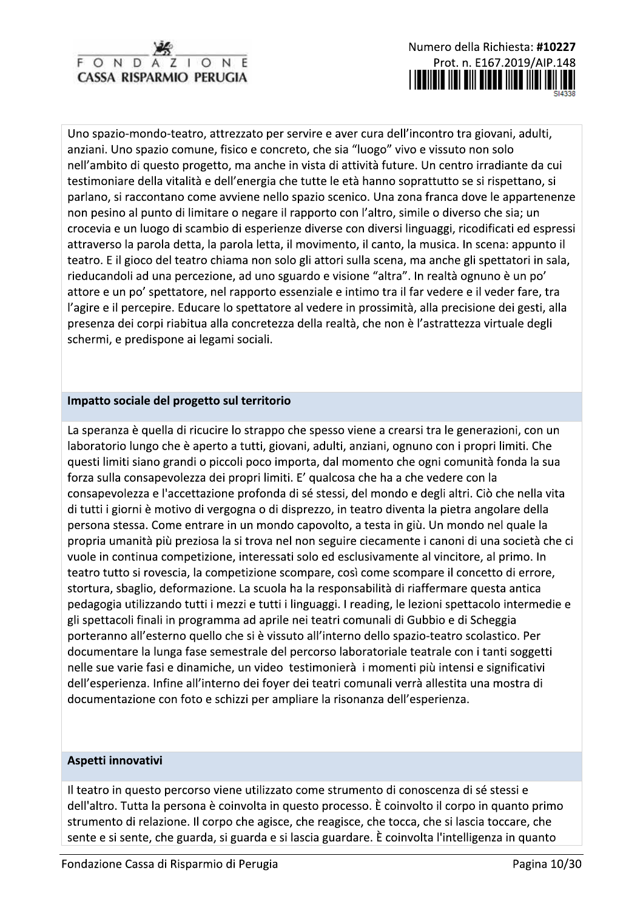

Uno spazio-mondo-teatro, attrezzato per servire e aver cura dell'incontro tra giovani, adulti, anziani. Uno spazio comune, fisico e concreto, che sia "luogo" vivo e vissuto non solo nell'ambito di questo progetto, ma anche in vista di attività future. Un centro irradiante da cui testimoniare della vitalità e dell'energia che tutte le età hanno soprattutto se si rispettano, si parlano, si raccontano come avviene nello spazio scenico. Una zona franca dove le appartenenze non pesino al punto di limitare o negare il rapporto con l'altro, simile o diverso che sia; un crocevia e un luogo di scambio di esperienze diverse con diversi linguaggi, ricodificati ed espressi attraverso la parola detta, la parola letta, il movimento, il canto, la musica. In scena: appunto il teatro. E il gioco del teatro chiama non solo gli attori sulla scena, ma anche gli spettatori in sala, rieducandoli ad una percezione, ad uno sguardo e visione "altra". In realtà ognuno è un po' attore e un po' spettatore, nel rapporto essenziale e intimo tra il far vedere e il veder fare, tra l'agire e il percepire. Educare lo spettatore al vedere in prossimità, alla precisione dei gesti, alla presenza dei corpi riabitua alla concretezza della realtà, che non è l'astrattezza virtuale degli schermi, e predispone ai legami sociali.

## Impatto sociale del progetto sul territorio

La speranza è quella di ricucire lo strappo che spesso viene a crearsi tra le generazioni, con un laboratorio lungo che è aperto a tutti, giovani, adulti, anziani, ognuno con i propri limiti. Che questi limiti siano grandi o piccoli poco importa, dal momento che ogni comunità fonda la sua forza sulla consapevolezza dei propri limiti. E' qualcosa che ha a che vedere con la consapevolezza e l'accettazione profonda di sé stessi, del mondo e degli altri. Ciò che nella vita di tutti i giorni è motivo di vergogna o di disprezzo, in teatro diventa la pietra angolare della persona stessa. Come entrare in un mondo capovolto, a testa in giù. Un mondo nel quale la propria umanità più preziosa la si trova nel non seguire ciecamente i canoni di una società che ci vuole in continua competizione, interessati solo ed esclusivamente al vincitore, al primo. In teatro tutto si rovescia, la competizione scompare, così come scompare il concetto di errore, stortura, sbaglio, deformazione. La scuola ha la responsabilità di riaffermare questa antica pedagogia utilizzando tutti i mezzi e tutti i linguaggi. I reading, le lezioni spettacolo intermedie e gli spettacoli finali in programma ad aprile nei teatri comunali di Gubbio e di Scheggia porteranno all'esterno quello che si è vissuto all'interno dello spazio-teatro scolastico. Per documentare la lunga fase semestrale del percorso laboratoriale teatrale con i tanti soggetti nelle sue varie fasi e dinamiche, un video testimonierà i momenti più intensi e significativi dell'esperienza. Infine all'interno dei foyer dei teatri comunali verrà allestita una mostra di documentazione con foto e schizzi per ampliare la risonanza dell'esperienza.

### Aspetti innovativi

Il teatro in questo percorso viene utilizzato come strumento di conoscenza di sé stessi e dell'altro. Tutta la persona è coinvolta in questo processo. È coinvolto il corpo in quanto primo strumento di relazione. Il corpo che agisce, che reagisce, che tocca, che si lascia toccare, che sente e si sente, che guarda, si guarda e si lascia guardare. È coinvolta l'intelligenza in quanto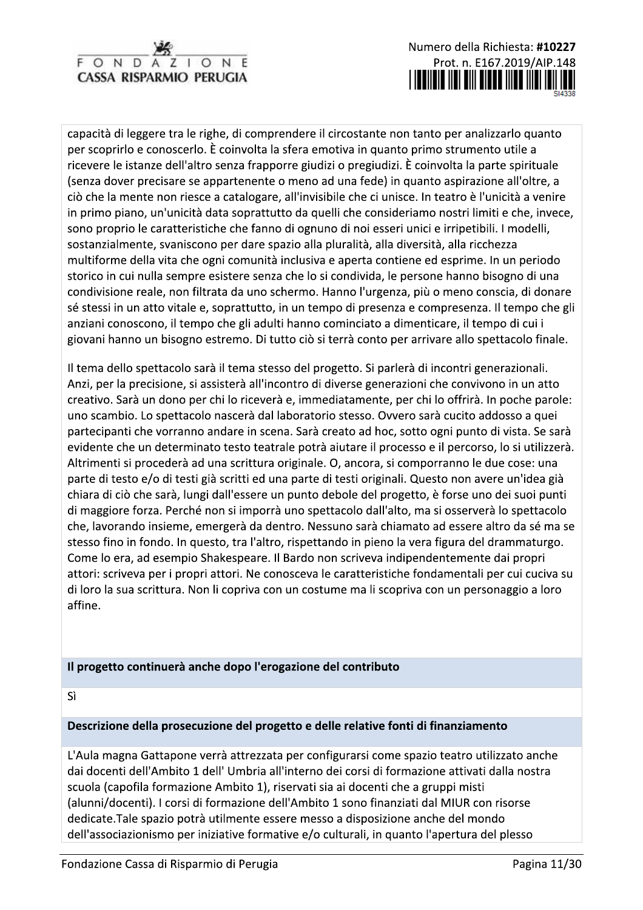

capacità di leggere tra le righe, di comprendere il circostante non tanto per analizzarlo quanto per scoprirlo e conoscerlo. È coinvolta la sfera emotiva in quanto primo strumento utile a ricevere le istanze dell'altro senza frapporre giudizi o pregiudizi. È coinvolta la parte spirituale (senza dover precisare se appartenente o meno ad una fede) in quanto aspirazione all'oltre, a ciò che la mente non riesce a catalogare, all'invisibile che ci unisce. In teatro è l'unicità a venire in primo piano, un'unicità data soprattutto da quelli che consideriamo nostri limiti e che, invece, sono proprio le caratteristiche che fanno di ognuno di noi esseri unici e irripetibili. I modelli, sostanzialmente, svaniscono per dare spazio alla pluralità, alla diversità, alla ricchezza multiforme della vita che ogni comunità inclusiva e aperta contiene ed esprime. In un periodo storico in cui nulla sempre esistere senza che lo si condivida, le persone hanno bisogno di una condivisione reale, non filtrata da uno schermo. Hanno l'urgenza, più o meno conscia, di donare sé stessi in un atto vitale e, soprattutto, in un tempo di presenza e compresenza. Il tempo che gli anziani conoscono, il tempo che gli adulti hanno cominciato a dimenticare, il tempo di cui i giovani hanno un bisogno estremo. Di tutto ciò si terrà conto per arrivare allo spettacolo finale.

Il tema dello spettacolo sarà il tema stesso del progetto. Si parlerà di incontri generazionali. Anzi, per la precisione, si assisterà all'incontro di diverse generazioni che convivono in un atto creativo. Sarà un dono per chi lo riceverà e, immediatamente, per chi lo offrirà. In poche parole: uno scambio. Lo spettacolo nascerà dal laboratorio stesso. Ovvero sarà cucito addosso a quei partecipanti che vorranno andare in scena. Sarà creato ad hoc, sotto ogni punto di vista. Se sarà evidente che un determinato testo teatrale potrà aiutare il processo e il percorso, lo si utilizzerà. Altrimenti si procederà ad una scrittura originale. O, ancora, si comporranno le due cose: una parte di testo e/o di testi già scritti ed una parte di testi originali. Questo non avere un'idea già chiara di ciò che sarà, lungi dall'essere un punto debole del progetto, è forse uno dei suoi punti di maggiore forza. Perché non si imporrà uno spettacolo dall'alto, ma si osserverà lo spettacolo che, lavorando insieme, emergerà da dentro. Nessuno sarà chiamato ad essere altro da sé ma se stesso fino in fondo. In questo, tra l'altro, rispettando in pieno la vera figura del drammaturgo. Come lo era, ad esempio Shakespeare. Il Bardo non scriveva indipendentemente dai propri attori: scriveva per i propri attori. Ne conosceva le caratteristiche fondamentali per cui cuciva su di loro la sua scrittura. Non li copriva con un costume ma li scopriva con un personaggio a loro affine.

# Il progetto continuerà anche dopo l'erogazione del contributo

Sì

# Descrizione della prosecuzione del progetto e delle relative fonti di finanziamento

L'Aula magna Gattapone verrà attrezzata per configurarsi come spazio teatro utilizzato anche dai docenti dell'Ambito 1 dell' Umbria all'interno dei corsi di formazione attivati dalla nostra scuola (capofila formazione Ambito 1), riservati sia ai docenti che a gruppi misti (alunni/docenti). I corsi di formazione dell'Ambito 1 sono finanziati dal MIUR con risorse dedicate. Tale spazio potrà utilmente essere messo a disposizione anche del mondo dell'associazionismo per iniziative formative e/o culturali, in quanto l'apertura del plesso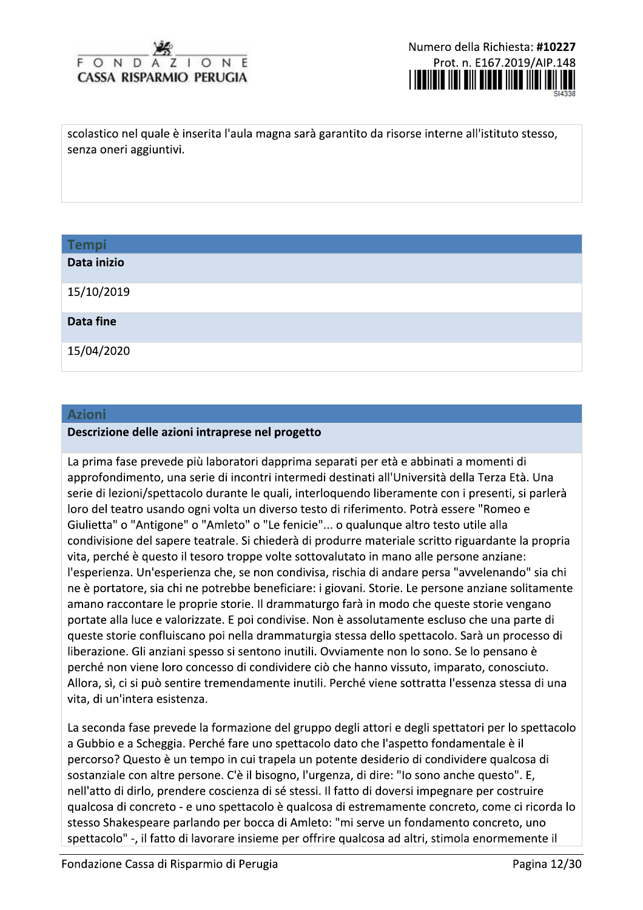#### $O N$  $\Box$  $\Omega$ **CASSA RISPARMIO PERUGIA**

Numero della Richiesta: #10227 Prot. n. E167.2019/AIP.148 

scolastico nel quale è inserita l'aula magna sarà garantito da risorse interne all'istituto stesso, senza oneri aggiuntivi.

| <b>Tempi</b> |  |
|--------------|--|
| Data inizio  |  |
| 15/10/2019   |  |
| Data fine    |  |
| 15/04/2020   |  |

#### **Azioni**

#### Descrizione delle azioni intraprese nel progetto

La prima fase prevede più laboratori dapprima separati per età e abbinati a momenti di approfondimento, una serie di incontri intermedi destinati all'Università della Terza Età. Una serie di lezioni/spettacolo durante le quali, interloquendo liberamente con i presenti, si parlerà loro del teatro usando ogni volta un diverso testo di riferimento. Potrà essere "Romeo e Giulietta" o "Antigone" o "Amleto" o "Le fenicie"... o qualunque altro testo utile alla condivisione del sapere teatrale. Si chiederà di produrre materiale scritto riguardante la propria vita, perché è questo il tesoro troppe volte sottovalutato in mano alle persone anziane: l'esperienza. Un'esperienza che, se non condivisa, rischia di andare persa "avvelenando" sia chi ne è portatore, sia chi ne potrebbe beneficiare: i giovani. Storie. Le persone anziane solitamente amano raccontare le proprie storie. Il drammaturgo farà in modo che queste storie vengano portate alla luce e valorizzate. E poi condivise. Non è assolutamente escluso che una parte di queste storie confluiscano poi nella drammaturgia stessa dello spettacolo. Sarà un processo di liberazione. Gli anziani spesso si sentono inutili. Ovviamente non lo sono. Se lo pensano è perché non viene loro concesso di condividere ciò che hanno vissuto, imparato, conosciuto. Allora, sì, ci si può sentire tremendamente inutili. Perché viene sottratta l'essenza stessa di una vita, di un'intera esistenza.

La seconda fase prevede la formazione del gruppo degli attori e degli spettatori per lo spettacolo a Gubbio e a Scheggia. Perché fare uno spettacolo dato che l'aspetto fondamentale è il percorso? Questo è un tempo in cui trapela un potente desiderio di condividere qualcosa di sostanziale con altre persone. C'è il bisogno, l'urgenza, di dire: "Io sono anche questo". E, nell'atto di dirlo, prendere coscienza di sé stessi. Il fatto di doversi impegnare per costruire qualcosa di concreto - e uno spettacolo è qualcosa di estremamente concreto, come ci ricorda lo stesso Shakespeare parlando per bocca di Amleto: "mi serve un fondamento concreto, uno spettacolo" -, il fatto di lavorare insieme per offrire qualcosa ad altri, stimola enormemente il